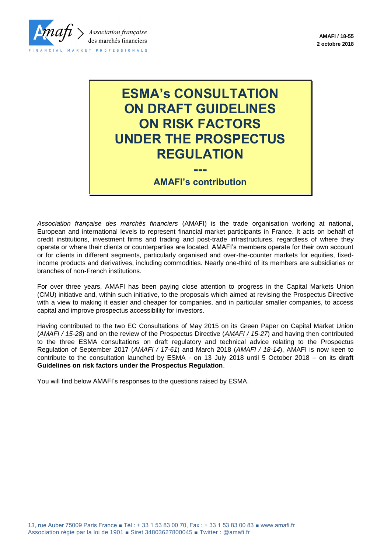

# **ESMA's CONSULTATION ON DRAFT GUIDELINES ON RISK FACTORS UNDER THE PROSPECTUS REGULATION**

**--- AMAFI's contribution**

*Association française des marchés financiers* (AMAFI) is the trade organisation working at national, European and international levels to represent financial market participants in France. It acts on behalf of credit institutions, investment firms and trading and post-trade infrastructures, regardless of where they operate or where their clients or counterparties are located. AMAFI's members operate for their own account or for clients in different segments, particularly organised and over-the-counter markets for equities, fixedincome products and derivatives, including commodities. Nearly one-third of its members are subsidiaries or branches of non-French institutions.

For over three years, AMAFI has been paying close attention to progress in the Capital Markets Union (CMU) initiative and, within such initiative, to the proposals which aimed at revising the Prospectus Directive with a view to making it easier and cheaper for companies, and in particular smaller companies, to access capital and improve prospectus accessibility for investors.

Having contributed to the two EC Consultations of May 2015 on its Green Paper on Capital Market Union (*AMAFI / 15-28*) and on the review of the Prospectus Directive (*AMAFI / 15-27*) and having then contributed to the three ESMA consultations on draft regulatory and technical advice relating to the Prospectus Regulation of September 2017 (*AMAFI / 17-61*) and March 2018 (*AMAFI / 18-14*), AMAFI is now keen to contribute to the consultation launched by ESMA - on 13 July 2018 until 5 October 2018 – on its **draft Guidelines on risk factors under the Prospectus Regulation**.

You will find below AMAFI's responses to the questions raised by ESMA.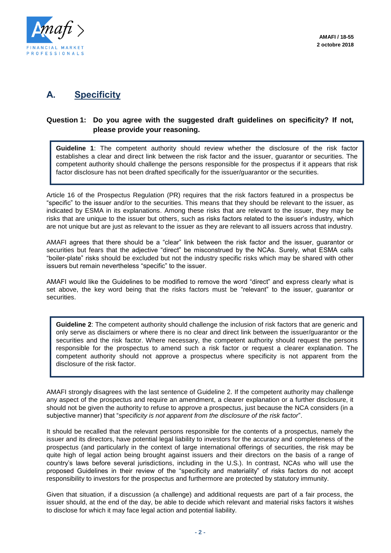

# **A. Specificity**

#### **Question 1: Do you agree with the suggested draft guidelines on specificity? If not, please provide your reasoning.**

**Guideline 1**: The competent authority should review whether the disclosure of the risk factor establishes a clear and direct link between the risk factor and the issuer, guarantor or securities. The competent authority should challenge the persons responsible for the prospectus if it appears that risk factor disclosure has not been drafted specifically for the issuer/guarantor or the securities.

Article 16 of the Prospectus Regulation (PR) requires that the risk factors featured in a prospectus be "specific" to the issuer and/or to the securities. This means that they should be relevant to the issuer, as indicated by ESMA in its explanations. Among these risks that are relevant to the issuer, they may be risks that are unique to the issuer but others, such as risks factors related to the issuer's industry, which are not unique but are just as relevant to the issuer as they are relevant to all issuers across that industry.

AMAFI agrees that there should be a "clear" link between the risk factor and the issuer, guarantor or securities but fears that the adjective "direct" be misconstrued by the NCAs. Surely, what ESMA calls "boiler-plate" risks should be excluded but not the industry specific risks which may be shared with other issuers but remain nevertheless "specific" to the issuer.

AMAFI would like the Guidelines to be modified to remove the word "direct" and express clearly what is set above, the key word being that the risks factors must be "relevant" to the issuer, guarantor or securities.

**Guideline 2**: The competent authority should challenge the inclusion of risk factors that are generic and only serve as disclaimers or where there is no clear and direct link between the issuer/guarantor or the securities and the risk factor. Where necessary, the competent authority should request the persons responsible for the prospectus to amend such a risk factor or request a clearer explanation. The competent authority should not approve a prospectus where specificity is not apparent from the disclosure of the risk factor.

AMAFI strongly disagrees with the last sentence of Guideline 2. If the competent authority may challenge any aspect of the prospectus and require an amendment, a clearer explanation or a further disclosure, it should not be given the authority to refuse to approve a prospectus, just because the NCA considers (in a subjective manner) that "*specificity is not apparent from the disclosure of the risk factor*".

It should be recalled that the relevant persons responsible for the contents of a prospectus, namely the issuer and its directors, have potential legal liability to investors for the accuracy and completeness of the prospectus (and particularly in the context of large international offerings of securities, the risk may be quite high of legal action being brought against issuers and their directors on the basis of a range of country's laws before several jurisdictions, including in the U.S.). In contrast, NCAs who will use the proposed Guidelines in their review of the "specificity and materiality" of risks factors do not accept responsibility to investors for the prospectus and furthermore are protected by statutory immunity.

Given that situation, if a discussion (a challenge) and additional requests are part of a fair process, the issuer should, at the end of the day, be able to decide which relevant and material risks factors it wishes to disclose for which it may face legal action and potential liability.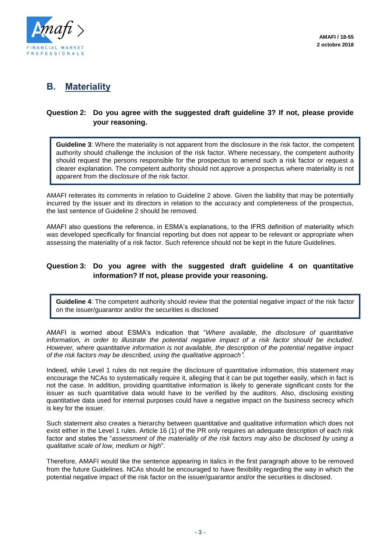

## **B. Materiality**

#### **Question 2: Do you agree with the suggested draft guideline 3? If not, please provide your reasoning.**

**Guideline 3**: Where the materiality is not apparent from the disclosure in the risk factor, the competent authority should challenge the inclusion of the risk factor. Where necessary, the competent authority should request the persons responsible for the prospectus to amend such a risk factor or request a clearer explanation. The competent authority should not approve a prospectus where materiality is not apparent from the disclosure of the risk factor.

AMAFI reiterates its comments in relation to Guideline 2 above. Given the liability that may be potentially incurred by the issuer and its directors in relation to the accuracy and completeness of the prospectus, the last sentence of Guideline 2 should be removed.

AMAFI also questions the reference, in ESMA's explanations, to the IFRS definition of materiality which was developed specifically for financial reporting but does not appear to be relevant or appropriate when assessing the materiality of a risk factor. Such reference should not be kept in the future Guidelines.

#### **Question 3: Do you agree with the suggested draft guideline 4 on quantitative information? If not, please provide your reasoning.**

**Guideline 4**: The competent authority should review that the potential negative impact of the risk factor on the issuer/guarantor and/or the securities is disclosed

AMAFI is worried about ESMA's indication that "*Where available, the disclosure of quantitative information, in order to illustrate the potential negative impact of a risk factor should be included. However, where quantitative information is not available, the description of the potential negative impact of the risk factors may be described, using the qualitative approach".* 

Indeed, while Level 1 rules do not require the disclosure of quantitative information, this statement may encourage the NCAs to systematically require it, alleging that it can be put together easily, which in fact is not the case. In addition, providing quantitative information is likely to generate significant costs for the issuer as such quantitative data would have to be verified by the auditors. Also, disclosing existing quantitative data used for internal purposes could have a negative impact on the business secrecy which is key for the issuer.

Such statement also creates a hierarchy between quantitative and qualitative information which does not exist either in the Level 1 rules. Article 16 (1) of the PR only requires an adequate description of each risk factor and states the "*assessment of the materiality of the risk factors may also be disclosed by using a qualitative scale of low, medium or high*".

Therefore, AMAFI would like the sentence appearing in italics in the first paragraph above to be removed from the future Guidelines. NCAs should be encouraged to have flexibility regarding the way in which the potential negative impact of the risk factor on the issuer/guarantor and/or the securities is disclosed.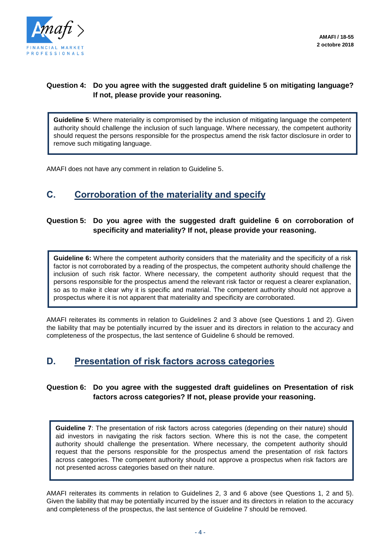

#### **Question 4: Do you agree with the suggested draft guideline 5 on mitigating language? If not, please provide your reasoning.**

**Guideline 5**: Where materiality is compromised by the inclusion of mitigating language the competent authority should challenge the inclusion of such language. Where necessary, the competent authority should request the persons responsible for the prospectus amend the risk factor disclosure in order to remove such mitigating language.

AMAFI does not have any comment in relation to Guideline 5.

# **C. Corroboration of the materiality and specify**

#### **Question 5: Do you agree with the suggested draft guideline 6 on corroboration of specificity and materiality? If not, please provide your reasoning.**

**Guideline 6:** Where the competent authority considers that the materiality and the specificity of a risk factor is not corroborated by a reading of the prospectus, the competent authority should challenge the inclusion of such risk factor. Where necessary, the competent authority should request that the persons responsible for the prospectus amend the relevant risk factor or request a clearer explanation, so as to make it clear why it is specific and material. The competent authority should not approve a prospectus where it is not apparent that materiality and specificity are corroborated.

AMAFI reiterates its comments in relation to Guidelines 2 and 3 above (see Questions 1 and 2). Given the liability that may be potentially incurred by the issuer and its directors in relation to the accuracy and completeness of the prospectus, the last sentence of Guideline 6 should be removed.

### **D. Presentation of risk factors across categories**

#### **Question 6: Do you agree with the suggested draft guidelines on Presentation of risk factors across categories? If not, please provide your reasoning.**

**Guideline 7**: The presentation of risk factors across categories (depending on their nature) should aid investors in navigating the risk factors section. Where this is not the case, the competent authority should challenge the presentation. Where necessary, the competent authority should request that the persons responsible for the prospectus amend the presentation of risk factors across categories. The competent authority should not approve a prospectus when risk factors are not presented across categories based on their nature.

AMAFI reiterates its comments in relation to Guidelines 2, 3 and 6 above (see Questions 1, 2 and 5). Given the liability that may be potentially incurred by the issuer and its directors in relation to the accuracy and completeness of the prospectus, the last sentence of Guideline 7 should be removed.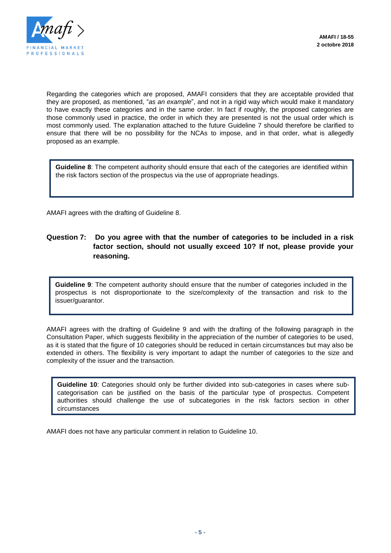

Regarding the categories which are proposed, AMAFI considers that they are acceptable provided that they are proposed, as mentioned, "*as an example*", and not in a rigid way which would make it mandatory to have exactly these categories and in the same order. In fact if roughly, the proposed categories are those commonly used in practice, the order in which they are presented is not the usual order which is most commonly used. The explanation attached to the future Guideline 7 should therefore be clarified to ensure that there will be no possibility for the NCAs to impose, and in that order, what is allegedly proposed as an example.

**Guideline 8**: The competent authority should ensure that each of the categories are identified within the risk factors section of the prospectus via the use of appropriate headings.

AMAFI agrees with the drafting of Guideline 8.

#### **Question 7: Do you agree with that the number of categories to be included in a risk factor section, should not usually exceed 10? If not, please provide your reasoning.**

**Guideline 9**: The competent authority should ensure that the number of categories included in the prospectus is not disproportionate to the size/complexity of the transaction and risk to the issuer/guarantor.

AMAFI agrees with the drafting of Guideline 9 and with the drafting of the following paragraph in the Consultation Paper, which suggests flexibility in the appreciation of the number of categories to be used. as it is stated that the figure of 10 categories should be reduced in certain circumstances but may also be extended in others. The flexibility is very important to adapt the number of categories to the size and complexity of the issuer and the transaction.

**Guideline 10**: Categories should only be further divided into sub-categories in cases where subcategorisation can be justified on the basis of the particular type of prospectus. Competent authorities should challenge the use of subcategories in the risk factors section in other circumstances

AMAFI does not have any particular comment in relation to Guideline 10.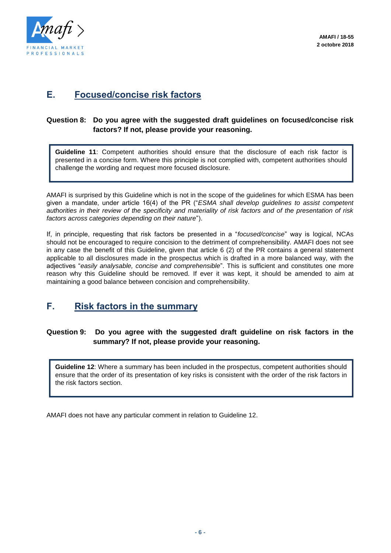

## **E. Focused/concise risk factors**

#### **Question 8: Do you agree with the suggested draft guidelines on focused/concise risk factors? If not, please provide your reasoning.**

**Guideline 11**: Competent authorities should ensure that the disclosure of each risk factor is presented in a concise form. Where this principle is not complied with, competent authorities should challenge the wording and request more focused disclosure.

AMAFI is surprised by this Guideline which is not in the scope of the guidelines for which ESMA has been given a mandate, under article 16(4) of the PR ("*ESMA shall develop guidelines to assist competent authorities in their review of the specificity and materiality of risk factors and of the presentation of risk factors across categories depending on their nature*").

If, in principle, requesting that risk factors be presented in a "*focused/concise*" way is logical, NCAs should not be encouraged to require concision to the detriment of comprehensibility. AMAFI does not see in any case the benefit of this Guideline, given that article 6 (2) of the PR contains a general statement applicable to all disclosures made in the prospectus which is drafted in a more balanced way, with the adjectives "*easily analysable, concise and comprehensible*". This is sufficient and constitutes one more reason why this Guideline should be removed. If ever it was kept, it should be amended to aim at maintaining a good balance between concision and comprehensibility.

### **F. Risk factors in the summary**

#### **Question 9: Do you agree with the suggested draft guideline on risk factors in the summary? If not, please provide your reasoning.**

**Guideline 12**: Where a summary has been included in the prospectus, competent authorities should ensure that the order of its presentation of key risks is consistent with the order of the risk factors in the risk factors section.

AMAFI does not have any particular comment in relation to Guideline 12.